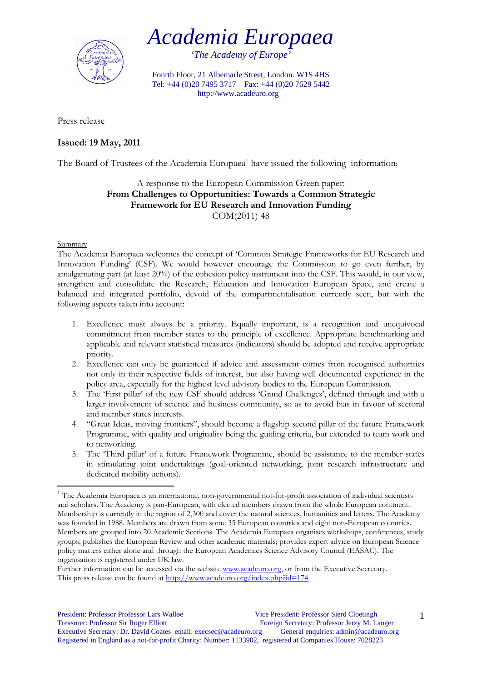

*'The Academy of Europe'* 

Fourth Floor, 21 Albemarle Street, London. W1S 4HS Tel: +44 (0)20 7495 3717 Fax: +44 (0)20 7629 5442 http://www.acadeuro.org

Press release

## **Issued: 19 May, 2011**

The Board of Trustees of the Academia Europaea<sup>1</sup> have issued the following information:

## A response to the European Commission Green paper: **From Challenges to Opportunities: Towards a Common Strategic Framework for EU Research and Innovation Funding**  COM(2011) 48

## Summary

1

The Academia Europaea welcomes the concept of 'Common Strategic Frameworks for EU Research and Innovation Funding' (CSF). We would however encourage the Commission to go even further, by amalgamating part (at least 20%) of the cohesion policy instrument into the CSF. This would, in our view, strengthen and consolidate the Research, Education and Innovation European Space, and create a balanced and integrated portfolio, devoid of the compartmentalisation currently seen, but with the following aspects taken into account:

- 1. Excellence must always be a priority. Equally important, is a recognition and unequivocal commitment from member states to the principle of excellence. Appropriate benchmarking and applicable and relevant statistical measures (indicators) should be adopted and receive appropriate priority.
- 2. Excellence can only be guaranteed if advice and assessment comes from recognised authorities not only in their respective fields of interest, but also having well documented experience in the policy area, especially for the highest level advisory bodies to the European Commission.
- 3. The 'First pillar' of the new CSF should address 'Grand Challenges', defined through and with a larger involvement of science and business community, so as to avoid bias in favour of sectoral and member states interests.
- 4. "Great Ideas, moving frontiers", should become a flagship second pillar of the future Framework Programme, with quality and originality being the guiding criteria, but extended to team work and to networking.
- 5. The 'Third pillar' of a future Framework Programme, should be assistance to the member states in stimulating joint undertakings (goal-oriented networking, joint research infrastructure and dedicated mobility actions).

<sup>&</sup>lt;sup>1</sup> The Academia Europaea is an international, non-governmental not-for-profit association of individual scientists and scholars. The Academy is pan-European, with elected members drawn from the whole European continent. Membership is currently in the region of 2,300 and cover the natural sciences, humanities and letters. The Academy was founded in 1988. Members are drawn from some 35 European countries and eight non-European countries. Members are grouped into 20 Academic Sections. The Academia Europaea organises workshops, conferences, study groups; publishes the European Review and other academic materials; provides expert advice on European Science policy matters either alone and through the European Academies Science Advisory Council (EASAC). The organisation is registered under UK law.

Further information can be accessed via the website www.acadeuro.org, or from the Executive Secretary. This press release can be found at http://www.acadeuro.org/index.php?id=174